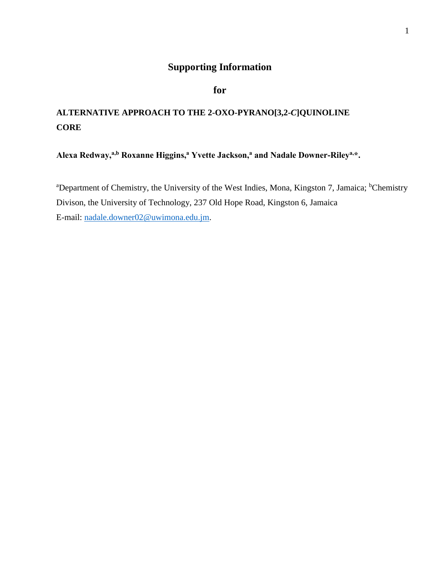## **Supporting Information**

# **for**

# **ALTERNATIVE APPROACH TO THE 2-OXO-PYRANO[3,2-***C***]QUINOLINE CORE**

**Alexa Redway,a,b Roxanne Higgins,<sup>a</sup> Yvette Jackson,<sup>a</sup> and Nadale Downer-Rileya,\*.**

<sup>a</sup>Department of Chemistry, the University of the West Indies, Mona, Kingston 7, Jamaica; <sup>b</sup>Chemistry Divison, the University of Technology, 237 Old Hope Road, Kingston 6, Jamaica E-mail: [nadale.downer02@uwimona.edu.jm.](mailto:nadale.downer02@uwimona.edu.jm)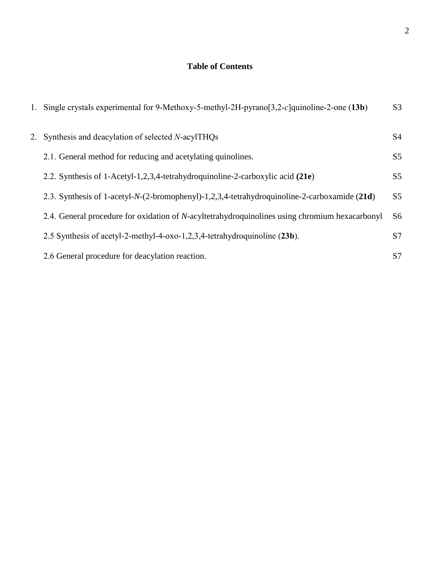## **Table of Contents**

| 1. | Single crystals experimental for 9-Methoxy-5-methyl-2H-pyrano $[3,2-c]$ quinoline-2-one $(13b)$        | S <sub>3</sub> |
|----|--------------------------------------------------------------------------------------------------------|----------------|
| 2. | Synthesis and deacylation of selected N-acylTHQs                                                       | S <sub>4</sub> |
|    | 2.1. General method for reducing and acetylating quinolines.                                           | S <sub>5</sub> |
|    | 2.2. Synthesis of 1-Acetyl-1,2,3,4-tetrahydroquinoline-2-carboxylic acid (21e)                         | S <sub>5</sub> |
|    | 2.3. Synthesis of 1-acetyl-N-(2-bromophenyl)-1,2,3,4-tetrahydroquinoline-2-carboxamide (21d)           | S <sub>5</sub> |
|    | 2.4. General procedure for oxidation of <i>N</i> -acyltetrahydroquinolines using chromium hexacarbonyl | S <sub>6</sub> |
|    | 2.5 Synthesis of acetyl-2-methyl-4-oxo-1,2,3,4-tetrahydroquinoline (23b).                              | S7             |
|    | 2.6 General procedure for deacylation reaction.                                                        | S7             |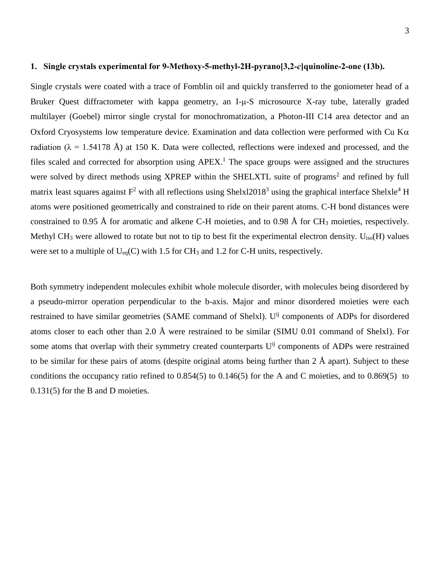#### **1. Single crystals experimental for 9-Methoxy-5-methyl-2H-pyrano[3,2-***c***]quinoline-2-one (13b).**

Single crystals were coated with a trace of Fomblin oil and quickly transferred to the goniometer head of a Bruker Quest diffractometer with kappa geometry, an I-μ-S microsource X-ray tube, laterally graded multilayer (Goebel) mirror single crystal for monochromatization, a Photon-III C14 area detector and an Oxford Cryosystems low temperature device. Examination and data collection were performed with Cu K $\alpha$ radiation ( $\lambda = 1.54178$  Å) at 150 K. Data were collected, reflections were indexed and processed, and the files scaled and corrected for absorption using APEX.<sup>1</sup> The space groups were assigned and the structures were solved by direct methods using XPREP within the SHELXTL suite of programs<sup>2</sup> and refined by full matrix least squares against  $F^2$  with all reflections using Shelxl2018<sup>3</sup> using the graphical interface Shelxle<sup>4</sup> H atoms were positioned geometrically and constrained to ride on their parent atoms. C-H bond distances were constrained to 0.95 Å for aromatic and alkene C-H moieties, and to 0.98 Å for CH<sub>3</sub> moieties, respectively. Methyl CH<sub>3</sub> were allowed to rotate but not to tip to best fit the experimental electron density. U<sub>iso</sub>(H) values were set to a multiple of  $U_{eq}(C)$  with 1.5 for CH<sub>3</sub> and 1.2 for C-H units, respectively.

Both symmetry independent molecules exhibit whole molecule disorder, with molecules being disordered by a pseudo-mirror operation perpendicular to the b-axis. Major and minor disordered moieties were each restrained to have similar geometries (SAME command of Shelxl). U<sup>ij</sup> components of ADPs for disordered atoms closer to each other than 2.0 Å were restrained to be similar (SIMU 0.01 command of Shelxl). For some atoms that overlap with their symmetry created counterparts  $U^{ij}$  components of ADPs were restrained to be similar for these pairs of atoms (despite original atoms being further than 2 Å apart). Subject to these conditions the occupancy ratio refined to 0.854(5) to 0.146(5) for the A and C moieties, and to 0.869(5) to 0.131(5) for the B and D moieties.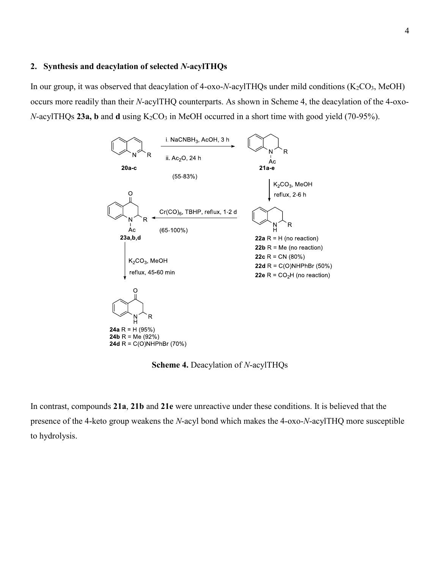#### **2. Synthesis and deacylation of selected** *N***-acylTHQs**

In our group, it was observed that deacylation of 4-oxo-*N*-acylTHQs under mild conditions  $(K_2CO_3, MeOH)$ occurs more readily than their *N*-acylTHQ counterparts. As shown in Scheme 4, the deacylation of the 4-oxo-*N*-acylTHQs 23a, b and d using K<sub>2</sub>CO<sub>3</sub> in MeOH occurred in a short time with good yield (70-95%).



**Scheme 4.** Deacylation of *N*-acylTHQs

In contrast, compounds **21a**, **21b** and **21e** were unreactive under these conditions. It is believed that the presence of the 4-keto group weakens the *N*-acyl bond which makes the 4-oxo-*N*-acylTHQ more susceptible to hydrolysis.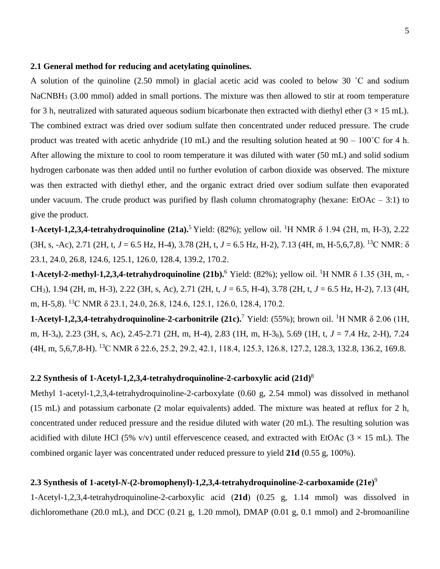#### **2.1 General method for reducing and acetylating quinolines.**

A solution of the quinoline (2.50 mmol) in glacial acetic acid was cooled to below 30 ˚C and sodium NaCNBH<sub>3</sub> (3.00 mmol) added in small portions. The mixture was then allowed to stir at room temperature for 3 h, neutralized with saturated aqueous sodium bicarbonate then extracted with diethyl ether  $(3 \times 15 \text{ mL})$ . The combined extract was dried over sodium sulfate then concentrated under reduced pressure. The crude product was treated with acetic anhydride (10 mL) and the resulting solution heated at  $90 - 100^{\circ}$ C for 4 h. After allowing the mixture to cool to room temperature it was diluted with water (50 mL) and solid sodium hydrogen carbonate was then added until no further evolution of carbon dioxide was observed. The mixture was then extracted with diethyl ether, and the organic extract dried over sodium sulfate then evaporated under vacuum. The crude product was purified by flash column chromatography (hexane:  $EtoAc - 3:1$ ) to give the product.

**1-Acetyl-1,2,3,4-tetrahydroquinoline (21a).**<sup>5</sup> Yield: (82%); yellow oil. <sup>1</sup>H NMR δ 1.94 (2H, m, H-3), 2.22 (3H, s, -Ac), 2.71 (2H, t, *J* = 6.5 Hz, H-4), 3.78 (2H, t, *J* = 6.5 Hz, H-2), 7.13 (4H, m, H-5,6,7,8). <sup>13</sup>C NMR: δ 23.1, 24.0, 26.8, 124.6, 125.1, 126.0, 128.4, 139.2, 170.2.

**1-Acetyl-2-methyl-1,2,3,4-tetrahydroquinoline (21b).** <sup>6</sup> Yield: (82%); yellow oil. <sup>1</sup>H NMR δ 1.35 (3H, m, -CH3), 1.94 (2H, m, H-3), 2.22 (3H, s, Ac), 2.71 (2H, t, *J* = 6.5, H-4), 3.78 (2H, t, *J* = 6.5 Hz, H-2), 7.13 (4H, m, H-5,8). <sup>13</sup>C NMR δ 23.1, 24.0, 26.8, 124.6, 125.1, 126.0, 128.4, 170.2.

**1-Acetyl-1,2,3,4-tetrahydroquinoline-2-carbonitrile (21c).**<sup>7</sup> Yield: (55%); brown oil. <sup>1</sup>H NMR δ 2.06 (1H, m, H-3a), 2.23 (3H, s, Ac), 2.45-2.71 (2H, m, H-4), 2.83 (1H, m, H-3b), 5.69 (1H, t, *J* = 7.4 Hz, 2-H), 7.24 (4H, m, 5,6,7,8-H). <sup>13</sup>C NMR δ 22.6, 25.2, 29.2, 42.1, 118.4, 125.3, 126.8, 127.2, 128.3, 132.8, 136.2, 169.8.

## **2.2 Synthesis of 1-Acetyl-1,2,3,4-tetrahydroquinoline-2-carboxylic acid (21d)** 8

Methyl 1-acetyl-1,2,3,4-tetrahydroquinoline-2-carboxylate (0.60 g, 2.54 mmol) was dissolved in methanol (15 mL) and potassium carbonate (2 molar equivalents) added. The mixture was heated at reflux for 2 h, concentrated under reduced pressure and the residue diluted with water (20 mL). The resulting solution was acidified with dilute HCl (5% v/v) until effervescence ceased, and extracted with EtOAc ( $3 \times 15$  mL). The combined organic layer was concentrated under reduced pressure to yield **21d** (0.55 g, 100%).

## **2.3 Synthesis of 1-acetyl-***N***-(2-bromophenyl)-1,2,3,4-tetrahydroquinoline-2-carboxamide (21e)** 9

1-Acetyl-1,2,3,4-tetrahydroquinoline-2-carboxylic acid (**21d**) (0.25 g, 1.14 mmol) was dissolved in dichloromethane (20.0 mL), and DCC (0.21 g, 1.20 mmol), DMAP (0.01 g, 0.1 mmol) and 2-bromoaniline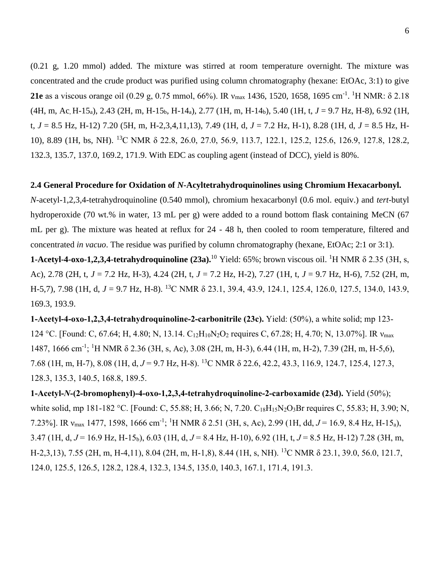(0.21 g, 1.20 mmol) added. The mixture was stirred at room temperature overnight. The mixture was concentrated and the crude product was purified using column chromatography (hexane: EtOAc, 3:1) to give **21e** as a viscous orange oil (0.29 g, 0.75 mmol, 66%). IR v<sub>max</sub> 1436, 1520, 1658, 1695 cm<sup>-1</sup>. <sup>1</sup>H NMR: δ 2.18 (4H, m, Ac, H-15<sub>a</sub>), 2.43 (2H, m, H-15<sub>b</sub>, H-14<sub>a</sub>), 2.77 (1H, m, H-14<sub>b</sub>), 5.40 (1H, t, *J* = 9.7 Hz, H-8), 6.92 (1H, t, *J* = 8.5 Hz, H-12) 7.20 (5H, m, H-2,3,4,11,13), 7.49 (1H, d, *J* = 7.2 Hz, H-1), 8.28 (1H, d, *J* = 8.5 Hz, H-10), 8.89 (1H, bs, NH). <sup>13</sup>C NMR δ 22.8, 26.0, 27.0, 56.9, 113.7, 122.1, 125.2, 125.6, 126.9, 127.8, 128.2, 132.3, 135.7, 137.0, 169.2, 171.9. With EDC as coupling agent (instead of DCC), yield is 80%.

#### **2.4 General Procedure for Oxidation of** *N***-Acyltetrahydroquinolines using Chromium Hexacarbonyl.**

*N*-acetyl-1,2,3,4-tetrahydroquinoline (0.540 mmol), chromium hexacarbonyl (0.6 mol. equiv.) and *tert*-butyl hydroperoxide (70 wt.% in water, 13 mL per g) were added to a round bottom flask containing MeCN (67 mL per g). The mixture was heated at reflux for 24 - 48 h, then cooled to room temperature, filtered and concentrated *in vacuo*. The residue was purified by column chromatography (hexane, EtOAc; 2:1 or 3:1).

**1-Acetyl-4-oxo-1,2,3,4-tetrahydroquinoline**  $(23a)$ **.**<sup>10</sup> Yield: 65%; brown viscous oil. <sup>1</sup>H NMR  $\delta$  2.35 (3H, s, Ac), 2.78 (2H, t, *J* = 7.2 Hz, H-3), 4.24 (2H, t, *J* = 7.2 Hz, H-2), 7.27 (1H, t, *J* = 9.7 Hz, H-6), 7.52 (2H, m, H-5,7), 7.98 (1H, d, *J* = 9.7 Hz, H-8). <sup>13</sup>C NMR δ 23.1, 39.4, 43.9, 124.1, 125.4, 126.0, 127.5, 134.0, 143.9, 169.3, 193.9.

**1-Acetyl-4-oxo-1,2,3,4-tetrahydroquinoline-2-carbonitrile (23c).** Yield: (50%), a white solid; mp 123- 124 °C. [Found: C, 67.64; H, 4.80; N, 13.14. C<sub>12</sub>H<sub>10</sub>N<sub>2</sub>O<sub>2</sub> requires C, 67.28; H, 4.70; N, 13.07%]. IR  $v_{\text{max}}$ 1487, 1666 cm<sup>-1</sup>; <sup>1</sup>H NMR δ 2.36 (3H, s, Ac), 3.08 (2H, m, H-3), 6.44 (1H, m, H-2), 7.39 (2H, m, H-5,6), 7.68 (1H, m, H-7), 8.08 (1H, d, *J* = 9.7 Hz, H-8). <sup>13</sup>C NMR δ 22.6, 42.2, 43.3, 116.9, 124.7, 125.4, 127.3, 128.3, 135.3, 140.5, 168.8, 189.5.

**1-Acetyl-***N***-(2-bromophenyl)-4-oxo-1,2,3,4-tetrahydroquinoline-2-carboxamide (23d).** Yield (50%); white solid, mp 181-182 °C. [Found: C, 55.88; H, 3.66; N, 7.20. C<sub>18</sub>H<sub>15</sub>N<sub>2</sub>O<sub>3</sub>Br requires C, 55.83; H, 3.90; N, 7.23%]. IR ν<sub>max</sub> 1477, 1598, 1666 cm<sup>-1</sup>; <sup>1</sup>H NMR δ 2.51 (3H, s, Ac), 2.99 (1H, dd, *J* = 16.9, 8.4 Hz, H-15<sub>a</sub>), 3.47 (1H, d, *J* = 16.9 Hz, H-15b), 6.03 (1H, d, *J* = 8.4 Hz, H-10), 6.92 (1H, t, *J* = 8.5 Hz, H-12) 7.28 (3H, m, H-2,3,13), 7.55 (2H, m, H-4,11), 8.04 (2H, m, H-1,8), 8.44 (1H, s, NH). <sup>13</sup>C NMR δ 23.1, 39.0, 56.0, 121.7, 124.0, 125.5, 126.5, 128.2, 128.4, 132.3, 134.5, 135.0, 140.3, 167.1, 171.4, 191.3.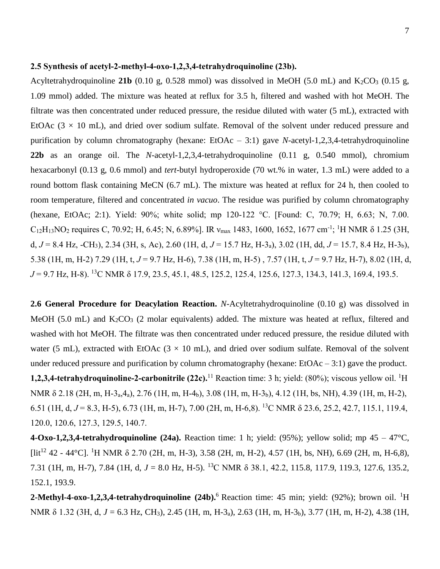#### **2.5 Synthesis of acetyl-2-methyl-4-oxo-1,2,3,4-tetrahydroquinoline (23b).**

Acyltetrahydroquinoline **21b** (0.10 g, 0.528 mmol) was dissolved in MeOH (5.0 mL) and  $K_2CO_3$  (0.15 g, 1.09 mmol) added. The mixture was heated at reflux for 3.5 h, filtered and washed with hot MeOH. The filtrate was then concentrated under reduced pressure, the residue diluted with water (5 mL), extracted with EtOAc  $(3 \times 10 \text{ mL})$ , and dried over sodium sulfate. Removal of the solvent under reduced pressure and purification by column chromatography (hexane: EtOAc – 3:1) gave *N*-acetyl-1,2,3,4-tetrahydroquinoline **22b** as an orange oil. The *N*-acetyl-1,2,3,4-tetrahydroquinoline (0.11 g, 0.540 mmol), chromium hexacarbonyl (0.13 g, 0.6 mmol) and *tert*-butyl hydroperoxide (70 wt.% in water, 1.3 mL) were added to a round bottom flask containing MeCN (6.7 mL). The mixture was heated at reflux for 24 h, then cooled to room temperature, filtered and concentrated *in vacuo*. The residue was purified by column chromatography (hexane, EtOAc; 2:1). Yield: 90%; white solid; mp 120-122 °C. [Found: C, 70.79; H, 6.63; N, 7.00.  $C_{12}H_{13}NO_2$  requires C, 70.92; H, 6.45; N, 6.89%]. IR  $v_{max}$  1483, 1600, 1652, 1677 cm<sup>-1</sup>; <sup>1</sup>H NMR  $\delta$  1.25 (3H, d, *J* = 8.4 Hz, -CH3), 2.34 (3H, s, Ac), 2.60 (1H, d, *J* = 15.7 Hz, H-3a), 3.02 (1H, dd, *J* = 15.7, 8.4 Hz, H-3b), 5.38 (1H, m, H-2) 7.29 (1H, t, *J* = 9.7 Hz, H-6), 7.38 (1H, m, H-5) , 7.57 (1H, t, *J* = 9.7 Hz, H-7), 8.02 (1H, d, *J* = 9.7 Hz, H-8). <sup>13</sup>C NMR δ 17.9, 23.5, 45.1, 48.5, 125.2, 125.4, 125.6, 127.3, 134.3, 141.3, 169.4, 193.5.

**2.6 General Procedure for Deacylation Reaction.** *N*-Acyltetrahydroquinoline (0.10 g) was dissolved in MeOH (5.0 mL) and  $K_2CO_3$  (2 molar equivalents) added. The mixture was heated at reflux, filtered and washed with hot MeOH. The filtrate was then concentrated under reduced pressure, the residue diluted with water (5 mL), extracted with EtOAc ( $3 \times 10$  mL), and dried over sodium sulfate. Removal of the solvent under reduced pressure and purification by column chromatography (hexane:  $EtoAc-3:1$ ) gave the product. **1,2,3,4-tetrahydroquinoline-2-carbonitrile (22c).**<sup>11</sup> Reaction time: 3 h; yield: (80%); viscous yellow oil. <sup>1</sup>H NMR δ 2.18 (2H, m, H-3a,4a), 2.76 (1H, m, H-4b), 3.08 (1H, m, H-3b), 4.12 (1H, bs, NH), 4.39 (1H, m, H-2), 6.51 (1H, d, *J* = 8.3, H-5), 6.73 (1H, m, H-7), 7.00 (2H, m, H-6,8). <sup>13</sup>C NMR δ 23.6, 25.2, 42.7, 115.1, 119.4, 120.0, 120.6, 127.3, 129.5, 140.7.

**4-Oxo-1,2,3,4-tetrahydroquinoline (24a).** Reaction time: 1 h; yield: (95%); yellow solid; mp  $45 - 47^{\circ}C$ ,  $\left[$ lit<sup>12</sup> 42 - 44°C]. <sup>1</sup>H NMR  $\delta$  2.70 (2H, m, H-3), 3.58 (2H, m, H-2), 4.57 (1H, bs, NH), 6.69 (2H, m, H-6,8), 7.31 (1H, m, H-7), 7.84 (1H, d, *J* = 8.0 Hz, H-5). <sup>13</sup>C NMR δ 38.1, 42.2, 115.8, 117.9, 119.3, 127.6, 135.2, 152.1, 193.9.

**2-Methyl-4-oxo-1,2,3,4-tetrahydroquinoline** (24b). <sup>6</sup> Reaction time: 45 min; yield: (92%); brown oil. <sup>1</sup>H NMR δ 1.32 (3H, d, *J* = 6.3 Hz, CH3), 2.45 (1H, m, H-3a), 2.63 (1H, m, H-3b), 3.77 (1H, m, H-2), 4.38 (1H,